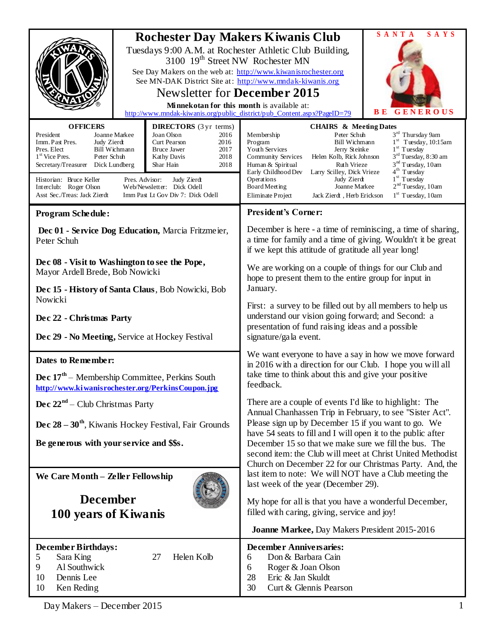|                                                                                                                                                                                                                                                                                                                                                                                                                                                                                                                                    | <b>Rochester Day Makers Kiwanis Club</b><br>Tuesdays 9:00 A.M. at Rochester Athletic Club Building,<br>3100 19 <sup>th</sup> Street NW Rochester MN<br>See Day Makers on the web at: http://www.kiwanisrochester.org<br>See MN-DAK District Site at: http://www.mndak-kiwanis.org<br>Newsletter for <b>December 2015</b><br>Minnekotan for this month is available at:<br>http://www.mndak-kiwanis.org/public_district/pub_Content.aspx?PageID=79 | SANTA<br>SAYS<br><b>GENEROUS</b><br><b>BE</b>                                                                                                                                                                                                                                                                                                                                                                                |                                                                                                                                                                                                                                        |  |
|------------------------------------------------------------------------------------------------------------------------------------------------------------------------------------------------------------------------------------------------------------------------------------------------------------------------------------------------------------------------------------------------------------------------------------------------------------------------------------------------------------------------------------|---------------------------------------------------------------------------------------------------------------------------------------------------------------------------------------------------------------------------------------------------------------------------------------------------------------------------------------------------------------------------------------------------------------------------------------------------|------------------------------------------------------------------------------------------------------------------------------------------------------------------------------------------------------------------------------------------------------------------------------------------------------------------------------------------------------------------------------------------------------------------------------|----------------------------------------------------------------------------------------------------------------------------------------------------------------------------------------------------------------------------------------|--|
| <b>OFFICERS</b><br><b>DIRECTORS</b> (3 yr terms)<br>President<br>Joanne Markee<br>Joan Olson<br>2016<br>Curt Pearson<br>Imm. Past Pres.<br>Judy Zierdt<br>2016<br>Pres. Elect<br>Bill Wichmann<br>Bruce Jawer<br>2017<br>$1st$ Vice Pres.<br>Peter Schuh<br>Kathy Davis<br>2018<br>Secretary/Treasurer Dick Lundberg<br>Shar Hain<br>2018<br>Historian: Bruce Keller<br>Pres. Advisor:<br>Judy Zierdt<br>Interclub: Roger Olson<br>Web/Newsletter: Dick Odell<br>Asst Sec./Treas: Jack Zierdt<br>Imm Past Lt Gov Div 7: Dick Odell |                                                                                                                                                                                                                                                                                                                                                                                                                                                   | <b>CHAIRS &amp; Meeting Dates</b><br>Peter Schuh<br>Membership<br>Program<br>Bill Wichmann<br>Youth Services<br>Jerry Steinke<br><b>Community Services</b><br>Helen Kolb, Rick Johnson<br>Human & Spiritual<br>Ruth Vrieze<br>Early Childhood Dev<br>Larry Scilley, Dick Vrieze<br>Operations<br>Judy Zierdt<br>Board Meeting<br>Joanne Markee<br>Eliminate Project<br>Jack Zierdt, Herb Erickson                            | $3rd$ Thursday 9am<br>$1st$ Tuesday, 10:15am<br>$1st$ Tuesday<br>3 <sup>rd</sup> Tuesday, 8:30 am<br>3 <sup>nd</sup> Tuesday, 10am<br>4 <sup>th</sup> Tuesday<br>$1st$ Tuesday<br>2 <sup>nd</sup> Tuesday, 10am<br>$1st$ Tuesday, 10am |  |
| <b>Program Schedule:</b>                                                                                                                                                                                                                                                                                                                                                                                                                                                                                                           |                                                                                                                                                                                                                                                                                                                                                                                                                                                   | President's Corner:                                                                                                                                                                                                                                                                                                                                                                                                          |                                                                                                                                                                                                                                        |  |
| Dec 01 - Service Dog Education, Marcia Fritzmeier,<br>Peter Schuh                                                                                                                                                                                                                                                                                                                                                                                                                                                                  |                                                                                                                                                                                                                                                                                                                                                                                                                                                   | December is here - a time of reminiscing, a time of sharing,<br>a time for family and a time of giving. Wouldn't it be great<br>if we kept this attitude of gratitude all year long!                                                                                                                                                                                                                                         |                                                                                                                                                                                                                                        |  |
| Dec 08 - Visit to Washington to see the Pope,<br>Mayor Ardell Brede, Bob Nowicki<br>Dec 15 - History of Santa Claus, Bob Nowicki, Bob                                                                                                                                                                                                                                                                                                                                                                                              |                                                                                                                                                                                                                                                                                                                                                                                                                                                   | We are working on a couple of things for our Club and<br>hope to present them to the entire group for input in<br>January.                                                                                                                                                                                                                                                                                                   |                                                                                                                                                                                                                                        |  |
| Nowicki<br>Dec 22 - Christmas Party<br>Dec 29 - No Meeting, Service at Hockey Festival                                                                                                                                                                                                                                                                                                                                                                                                                                             |                                                                                                                                                                                                                                                                                                                                                                                                                                                   | First: a survey to be filled out by all members to help us<br>understand our vision going forward; and Second: a<br>presentation of fund raising ideas and a possible<br>signature/gala event.                                                                                                                                                                                                                               |                                                                                                                                                                                                                                        |  |
| Dates to Remember:<br><b>Dec</b> $17th$ – Membership Committee, Perkins South<br>http://www.kiwanisrochester.org/PerkinsCoupon.jpg                                                                                                                                                                                                                                                                                                                                                                                                 |                                                                                                                                                                                                                                                                                                                                                                                                                                                   | We want everyone to have a say in how we move forward<br>in 2016 with a direction for our Club. I hope you will all<br>take time to think about this and give your positive<br>feedback.                                                                                                                                                                                                                                     |                                                                                                                                                                                                                                        |  |
| <b>Dec</b> $22nd$ – Club Christmas Party<br><b>Dec <math>28 - 30</math><sup>th</sup></b> , Kiwanis Hockey Festival, Fair Grounds<br>Be generous with your service and \$\$s.                                                                                                                                                                                                                                                                                                                                                       |                                                                                                                                                                                                                                                                                                                                                                                                                                                   | There are a couple of events I'd like to highlight: The<br>Annual Chanhassen Trip in February, to see "Sister Act".<br>Please sign up by December 15 if you want to go. We<br>have 54 seats to fill and I will open it to the public after<br>December 15 so that we make sure we fill the bus. The<br>second item: the Club will meet at Christ United Methodist<br>Church on December 22 for our Christmas Party. And, the |                                                                                                                                                                                                                                        |  |
| We Care Month - Zeller Fellowship<br><b>December</b>                                                                                                                                                                                                                                                                                                                                                                                                                                                                               |                                                                                                                                                                                                                                                                                                                                                                                                                                                   | last item to note: We will NOT have a Club meeting the<br>last week of the year (December 29).<br>My hope for all is that you have a wonderful December,                                                                                                                                                                                                                                                                     |                                                                                                                                                                                                                                        |  |
| 100 years of Kiwanis                                                                                                                                                                                                                                                                                                                                                                                                                                                                                                               |                                                                                                                                                                                                                                                                                                                                                                                                                                                   | filled with caring, giving, service and joy!<br>Joanne Markee, Day Makers President 2015-2016                                                                                                                                                                                                                                                                                                                                |                                                                                                                                                                                                                                        |  |
| December Birthdays:<br>Helen Kolb<br>5<br>27<br>Sara King<br>9<br>Al Southwick<br>Dennis Lee<br>10<br>10<br>Ken Reding                                                                                                                                                                                                                                                                                                                                                                                                             |                                                                                                                                                                                                                                                                                                                                                                                                                                                   | December Anniversaries:<br>Don & Barbara Cain<br>6<br>Roger & Joan Olson<br>6<br>28<br>Eric & Jan Skuldt<br>30<br>Curt & Glennis Pearson                                                                                                                                                                                                                                                                                     |                                                                                                                                                                                                                                        |  |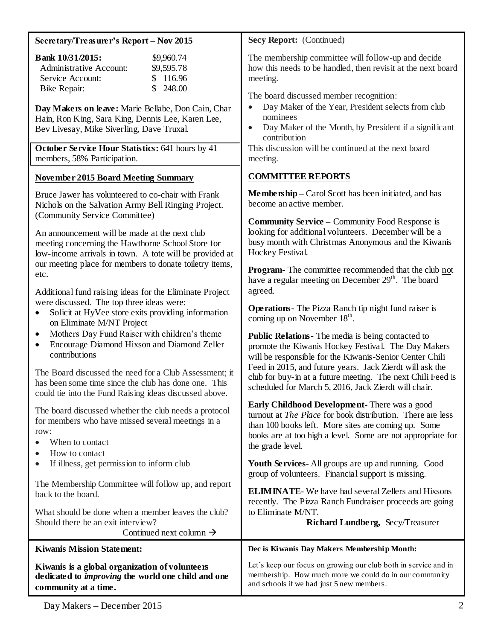| Secretary/Treasurer's Report - Nov 2015                                                                                                                                  | Secy Report: (Continued)                                                                                                                                                                                                                                                                                                                                                                                                                                                                                                                                                                                                      |  |  |
|--------------------------------------------------------------------------------------------------------------------------------------------------------------------------|-------------------------------------------------------------------------------------------------------------------------------------------------------------------------------------------------------------------------------------------------------------------------------------------------------------------------------------------------------------------------------------------------------------------------------------------------------------------------------------------------------------------------------------------------------------------------------------------------------------------------------|--|--|
| Bank 10/31/2015:<br>\$9,960.74<br><b>Administrative Account:</b><br>\$9,595.78<br>116.96<br>Service Account:<br>S.<br>248.00<br>Bike Repair:<br>\$                       | The membership committee will follow-up and decide<br>how this needs to be handled, then revisit at the next board<br>meeting.                                                                                                                                                                                                                                                                                                                                                                                                                                                                                                |  |  |
| Day Makers on leave: Marie Bellabe, Don Cain, Char<br>Hain, Ron King, Sara King, Dennis Lee, Karen Lee,<br>Bev Livesay, Mike Siverling, Dave Truxal.                     | The board discussed member recognition:<br>Day Maker of the Year, President selects from club<br>nominees<br>Day Maker of the Month, by President if a significant<br>$\bullet$<br>contribution<br>This discussion will be continued at the next board<br>meeting.                                                                                                                                                                                                                                                                                                                                                            |  |  |
| October Service Hour Statistics: 641 hours by 41<br>members, 58% Participation.                                                                                          |                                                                                                                                                                                                                                                                                                                                                                                                                                                                                                                                                                                                                               |  |  |
| <b>November 2015 Board Meeting Summary</b>                                                                                                                               | <b>COMMITTEE REPORTS</b>                                                                                                                                                                                                                                                                                                                                                                                                                                                                                                                                                                                                      |  |  |
| Bruce Jawer has volunteered to co-chair with Frank<br>Nichols on the Salvation Army Bell Ringing Project.<br>(Community Service Committee)                               | <b>Membership</b> – Carol Scott has been initiated, and has<br>become an active member.                                                                                                                                                                                                                                                                                                                                                                                                                                                                                                                                       |  |  |
| An announcement will be made at the next club<br>meeting concerning the Hawthorne School Store for<br>low-income arrivals in town. A tote will be provided at            | <b>Community Service – Community Food Response is</b><br>looking for additional volunteers. December will be a<br>busy month with Christmas Anonymous and the Kiwanis<br>Hockey Festival.                                                                                                                                                                                                                                                                                                                                                                                                                                     |  |  |
| our meeting place for members to donate toiletry items,<br>etc.<br>Additional fund raising ideas for the Eliminate Project                                               | <b>Program-</b> The committee recommended that the club not<br>have a regular meeting on December 29 <sup>th</sup> . The board<br>agreed.                                                                                                                                                                                                                                                                                                                                                                                                                                                                                     |  |  |
| were discussed. The top three ideas were:<br>Solicit at HyVee store exits providing information<br>on Eliminate M/NT Project                                             | <b>Operations</b> - The Pizza Ranch tip night fund raiser is<br>coming up on November 18 <sup>th</sup> .                                                                                                                                                                                                                                                                                                                                                                                                                                                                                                                      |  |  |
| Mothers Day Fund Raiser with children's theme<br>$\bullet$<br>Encourage Diamond Hixson and Diamond Zeller<br>$\bullet$<br>contributions                                  | <b>Public Relations - The media is being contacted to</b><br>promote the Kiwanis Hockey Festival. The Day Makers<br>will be responsible for the Kiwanis-Senior Center Chili<br>Feed in 2015, and future years. Jack Zierdt will ask the<br>club for buy-in at a future meeting. The next Chili Feed is<br>scheduled for March 5, 2016, Jack Zierdt will chair.<br>Early Childhood Development-There was a good<br>turnout at <i>The Place</i> for book distribution. There are less<br>than 100 books left. More sites are coming up. Some<br>books are at too high a level. Some are not appropriate for<br>the grade level. |  |  |
| The Board discussed the need for a Club Assessment; it<br>has been some time since the club has done one. This<br>could tie into the Fund Raising ideas discussed above. |                                                                                                                                                                                                                                                                                                                                                                                                                                                                                                                                                                                                                               |  |  |
| The board discussed whether the club needs a protocol<br>for members who have missed several meetings in a<br>row:<br>When to contact<br>How to contact                  |                                                                                                                                                                                                                                                                                                                                                                                                                                                                                                                                                                                                                               |  |  |
| If illness, get permission to inform club<br>$\bullet$                                                                                                                   | <b>Youth Services-All</b> groups are up and running. Good<br>group of volunteers. Financial support is missing.                                                                                                                                                                                                                                                                                                                                                                                                                                                                                                               |  |  |
| The Membership Committee will follow up, and report<br>back to the board.                                                                                                | <b>ELIMINATE-</b> We have had several Zellers and Hixsons<br>recently. The Pizza Ranch Fundraiser proceeds are going                                                                                                                                                                                                                                                                                                                                                                                                                                                                                                          |  |  |
| What should be done when a member leaves the club?<br>Should there be an exit interview?<br>Continued next column $\rightarrow$                                          | to Eliminate M/NT.<br>Richard Lundberg, Secy/Treasurer                                                                                                                                                                                                                                                                                                                                                                                                                                                                                                                                                                        |  |  |
| <b>Kiwanis Mission Statement:</b>                                                                                                                                        | Dec is Kiwanis Day Makers Membership Month:                                                                                                                                                                                                                                                                                                                                                                                                                                                                                                                                                                                   |  |  |
| Kiwanis is a global organization of volunteers<br>dedicated to <i>improving</i> the world one child and one<br>community at a time.                                      | Let's keep our focus on growing our club both in service and in<br>membership. How much more we could do in our community<br>and schools if we had just 5 new members.                                                                                                                                                                                                                                                                                                                                                                                                                                                        |  |  |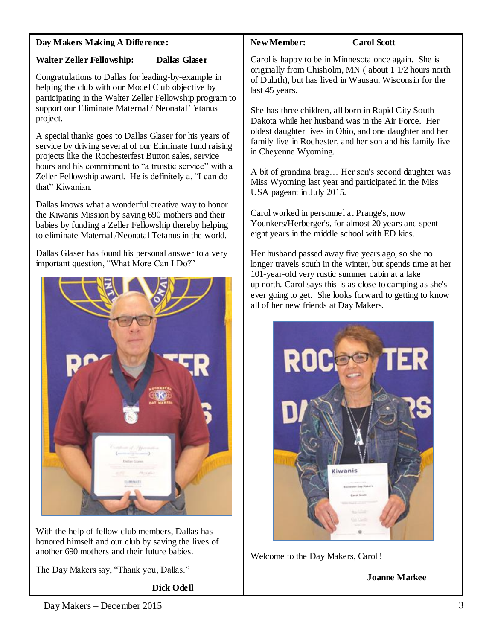### **Day Makers Making A Difference:**

# **Walter Zeller Fellowship: Dallas Glaser**

Congratulations to Dallas for leading-by-example in helping the club with our Model Club objective by participating in the Walter Zeller Fellowship program to support our Eliminate Maternal / Neonatal Tetanus project.

A special thanks goes to Dallas Glaser for his years of service by driving several of our Eliminate fund raising projects like the Rochesterfest Button sales, service hours and his commitment to "altruistic service" with a Zeller Fellowship award. He is definitely a, "I can do that" Kiwanian.

Dallas knows what a wonderful creative way to honor the Kiwanis Mission by saving 690 mothers and their babies by funding a Zeller Fellowship thereby helping to eliminate Maternal /Neonatal Tetanus in the world.

Dallas Glaser has found his personal answer to a very important question, "What More Can I Do?"



With the help of fellow club members, Dallas has honored himself and our club by saving the lives of another 690 mothers and their future babies.

The Day Makers say, "Thank you, Dallas."

**Dick Odell** 

## **New Member: Carol Scott**

Carol is happy to be in Minnesota once again. She is originally from Chisholm, MN ( about 1 1/2 hours north of Duluth), but has lived in Wausau, Wisconsin for the last 45 years.

She has three children, all born in Rapid City South Dakota while her husband was in the Air Force. Her oldest daughter lives in Ohio, and one daughter and her family live in Rochester, and her son and his family live in Cheyenne Wyoming.

A bit of grandma brag… Her son's second daughter was Miss Wyoming last year and participated in the Miss USA pageant in July 2015.

Carol worked in personnel at Prange's, now Younkers/Herberger's, for almost 20 years and spent eight years in the middle school with ED kids.

Her husband passed away five years ago, so she no longer travels south in the winter, but spends time at her 101-year-old very rustic summer cabin at a lake up north. Carol says this is as close to camping as she's ever going to get. She looks forward to getting to know all of her new friends at Day Makers.



Welcome to the Day Makers, Carol !

**Joanne Markee**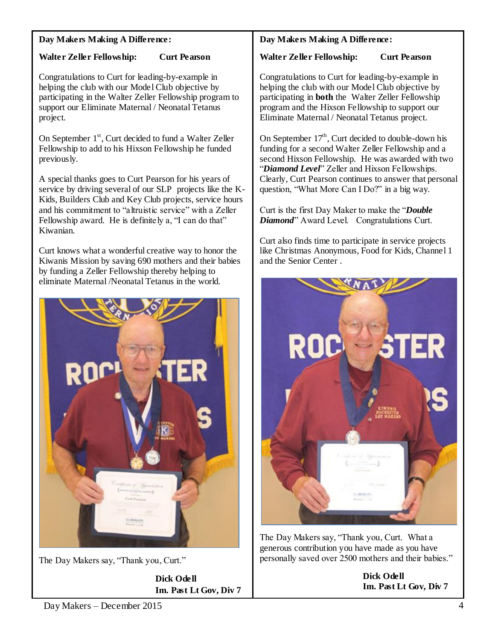#### **Day Makers Making A Difference:**

## **Walter Zeller Fellowship: Curt Pearson**

Congratulations to Curt for leading-by-example in helping the club with our Model Club objective by participating in the Walter Zeller Fellowship program to support our Eliminate Maternal / Neonatal Tetanus project.

On September 1<sup>st</sup>, Curt decided to fund a Walter Zeller Fellowship to add to his Hixson Fellowship he funded previously.

A special thanks goes to Curt Pearson for his years of service by driving several of our SLP projects like the K-Kids, Builders Club and Key Club projects, service hours and his commitment to "altruistic service" with a Zeller Fellowship award. He is definitely a. "I can do that" Kiwanian.

Curt knows what a wonderful creative way to honor the Kiwanis Mission by saving 690 mothers and their babies by funding a Zeller Fellowship thereby helping to eliminate Maternal /Neonatal Tetanus in the world.



The Day Makers say, "Thank you, Curt."

**Dick Odell Im. Past Lt Gov, Div 7**

### **Day Makers Making A Difference:**

#### **Walter Zeller Fellowship: Curt Pearson**

Congratulations to Curt for leading-by-example in helping the club with our Model Club objective by participating in **both** the Walter Zeller Fellowship program and the Hixson Fellowship to support our Eliminate Maternal / Neonatal Tetanus project.

On September  $17<sup>th</sup>$ , Curt decided to double-down his funding for a second Walter Zeller Fellowship and a second Hixson Fellowship. He was awarded with two "*Diamond Level*" Zeller and Hixson Fellowships. Clearly, Curt Pearson continues to answer that personal question, "What More Can I Do?" in a big way.

Curt is the first Day Maker to make the "*Double Diamond*" Award Level. Congratulations Curt.

Curt also finds time to participate in service projects like Christmas Anonymous, Food for Kids, Channel 1 and the Senior Center .



The Day Makers say, "Thank you, Curt. What a generous contribution you have made as you have personally saved over 2500 mothers and their babies."

 **Dick Odell Im. Past Lt Gov, Div 7**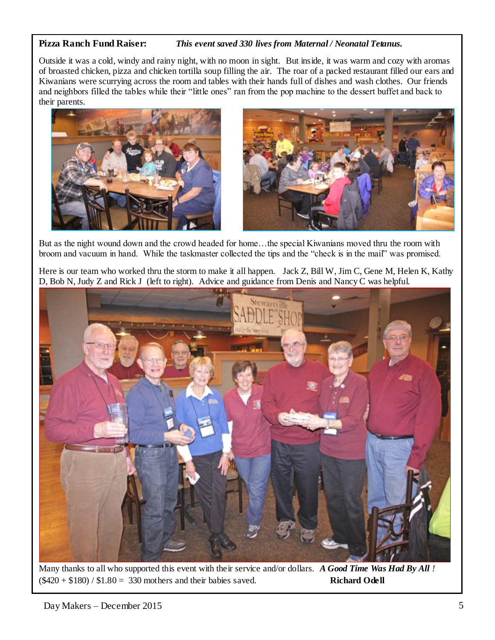### **Pizza Ranch Fund Raiser:** *This event saved 330 lives from Maternal / Neonatal Tetanus.*

Outside it was a cold, windy and rainy night, with no moon in sight. But inside, it was warm and cozy with aromas of broasted chicken, pizza and chicken tortilla soup filling the air. The roar of a packed restaurant filled our ears and Kiwanians were scurrying across the room and tables with their hands full of dishes and wash clothes. Our friends and neighbors filled the tables while their "little ones" ran from the pop machine to the dessert buffet and back to their parents.





But as the night wound down and the crowd headed for home…the special Kiwanians moved thru the room with broom and vacuum in hand. While the taskmaster collected the tips and the "check is in the mail" was promised.

Here is our team who worked thru the storm to make it all happen. Jack Z, Bill W, Jim C, Gene M, Helen K, Kathy D, Bob N, Judy Z and Rick J (left to right). Advice and guidance from Denis and Nancy C was helpful.



Many thanks to all who supported this event with their service and/or dollars. *A Good Time Was Had By All !*  $(\text{$}420 + \text{$}180) / \text{$}1.80 = 330$  mothers and their babies saved. **Richard Odell**